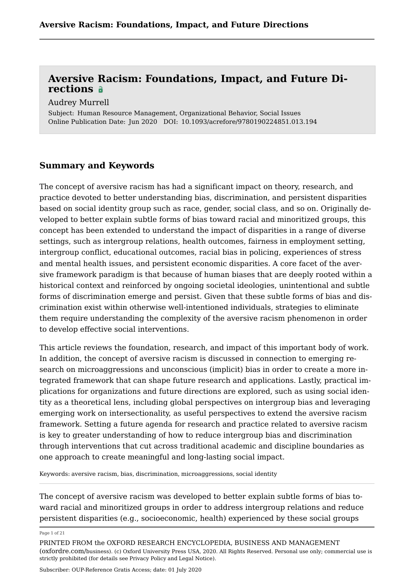Audrey Murrell

Subject: Human Resource Management, Organizational Behavior, Social Issues Online Publication Date: Jun 2020 DOI: 10.1093/acrefore/9780190224851.013.194

## **Summary and Keywords**

The concept of aversive racism has had a significant impact on theory, research, and practice devoted to better understanding bias, discrimination, and persistent disparities based on social identity group such as race, gender, social class, and so on. Originally developed to better explain subtle forms of bias toward racial and minoritized groups, this concept has been extended to understand the impact of disparities in a range of diverse settings, such as intergroup relations, health outcomes, fairness in employment setting, intergroup conflict, educational outcomes, racial bias in policing, experiences of stress and mental health issues, and persistent economic disparities. A core facet of the aversive framework paradigm is that because of human biases that are deeply rooted within a historical context and reinforced by ongoing societal ideologies, unintentional and subtle forms of discrimination emerge and persist. Given that these subtle forms of bias and discrimination exist within otherwise well-intentioned individuals, strategies to eliminate them require understanding the complexity of the aversive racism phenomenon in order to develop effective social interventions.

This article reviews the foundation, research, and impact of this important body of work. In addition, the concept of aversive racism is discussed in connection to emerging research on microaggressions and unconscious (implicit) bias in order to create a more integrated framework that can shape future research and applications. Lastly, practical implications for organizations and future directions are explored, such as using social identity as a theoretical lens, including global perspectives on intergroup bias and leveraging emerging work on intersectionality, as useful perspectives to extend the aversive racism framework. Setting a future agenda for research and practice related to aversive racism is key to greater understanding of how to reduce intergroup bias and discrimination through interventions that cut across traditional academic and discipline boundaries as one approach to create meaningful and long-lasting social impact.

Keywords: [aversive racism,](https://oxfordre.com/search?f_0=keyword&q_0=aversive racism) [bias,](https://oxfordre.com/search?f_0=keyword&q_0=bias) [discrimination,](https://oxfordre.com/search?f_0=keyword&q_0=discrimination) [microaggressions,](https://oxfordre.com/search?f_0=keyword&q_0=microaggressions) [social identity](https://oxfordre.com/search?f_0=keyword&q_0=social identity)

The concept of aversive racism was developed to better explain subtle forms of bias toward racial and minoritized groups in order to address intergroup relations and reduce persistent disparities (e.g., socioeconomic, health) experienced by these social groups

Page 1 of 21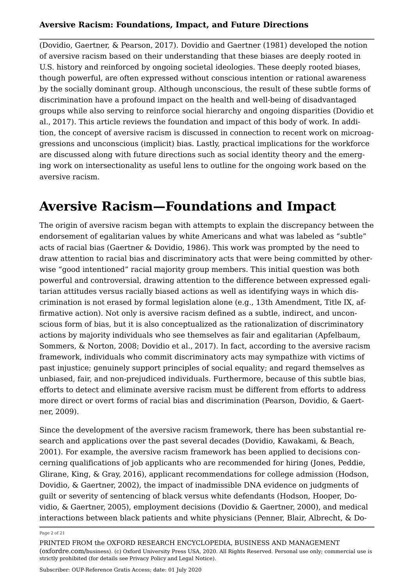(Dovidio, Gaertner, & Pearson, [2017](#page-14-0)). Dovidio and Gaertner [\(1981](#page-14-1)) developed the notion of aversive racism based on their understanding that these biases are deeply rooted in U.S. history and reinforced by ongoing societal ideologies. These deeply rooted biases, though powerful, are often expressed without conscious intention or rational awareness by the socially dominant group. Although unconscious, the result of these subtle forms of discrimination have a profound impact on the health and well-being of disadvantaged groups while also serving to reinforce social hierarchy and ongoing disparities (Dovidio et al., [2017](#page-14-0)). This article reviews the foundation and impact of this body of work. In addition, the concept of aversive racism is discussed in connection to recent work on microaggressions and unconscious (implicit) bias. Lastly, practical implications for the workforce are discussed along with future directions such as social identity theory and the emerging work on intersectionality as useful lens to outline for the ongoing work based on the aversive racism.

## **Aversive Racism—Foundations and Impact**

The origin of aversive racism began with attempts to explain the discrepancy between the endorsement of egalitarian values by white Americans and what was labeled as "subtle" acts of racial bias (Gaertner & Dovidio, [1986](#page-15-0)). This work was prompted by the need to draw attention to racial bias and discriminatory acts that were being committed by otherwise "good intentioned" racial majority group members. This initial question was both powerful and controversial, drawing attention to the difference between expressed egalitarian attitudes versus racially biased actions as well as identifying ways in which discrimination is not erased by formal legislation alone (e.g., 13th Amendment, Title IX, affirmative action). Not only is aversive racism defined as a subtle, indirect, and unconscious form of bias, but it is also conceptualized as the rationalization of discriminatory actions by majority individuals who see themselves as fair and egalitarian (Apfelbaum, Sommers, & Norton, [2008;](#page-13-0) Dovidio et al., [2017\)](#page-14-0). In fact, according to the aversive racism framework, individuals who commit discriminatory acts may sympathize with victims of past injustice; genuinely support principles of social equality; and regard themselves as unbiased, fair, and non-prejudiced individuals. Furthermore, because of this subtle bias, efforts to detect and eliminate aversive racism must be different from efforts to address more direct or overt forms of racial bias and discrimination (Pearson, Dovidio, & Gaertner, [2009](#page-18-0)).

Since the development of the aversive racism framework, there has been substantial research and applications over the past several decades (Dovidio, Kawakami, & Beach, [2001](#page-14-2)). For example, the aversive racism framework has been applied to decisions concerning qualifications of job applicants who are recommended for hiring (Jones, Peddie, Glirane, King, & Gray, [2016\)](#page-16-0), applicant recommendations for college admission (Hodson, Dovidio, & Gaertner, [2002](#page-16-1)), the impact of inadmissible DNA evidence on judgments of guilt or severity of sentencing of black versus white defendants (Hodson, Hooper, Dovidio, & Gaertner, [2005](#page-16-2)), employment decisions (Dovidio & Gaertner, [2000\)](#page-14-3), and medical interactions between black patients and white physicians (Penner, Blair, Albrecht, & Do

#### Page 2 of 21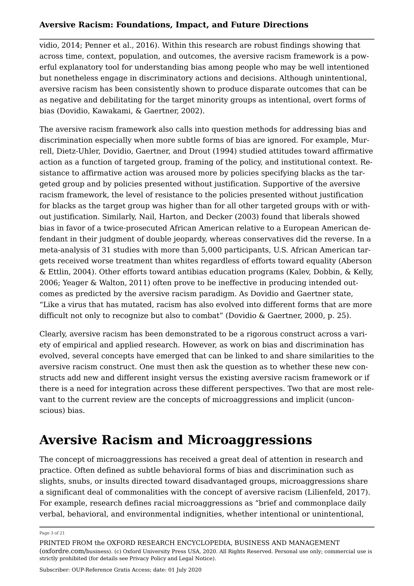vidio, [2014](#page-18-1); Penner et al., [2016](#page-18-2)). Within this research are robust findings showing that across time, context, population, and outcomes, the aversive racism framework is a powerful explanatory tool for understanding bias among people who may be well intentioned but nonetheless engage in discriminatory actions and decisions. Although unintentional, aversive racism has been consistently shown to produce disparate outcomes that can be as negative and debilitating for the target minority groups as intentional, overt forms of bias (Dovidio, Kawakami, & Gaertner, [2002](#page-14-4)).

The aversive racism framework also calls into question methods for addressing bias and discrimination especially when more subtle forms of bias are ignored. For example, Murrell, Dietz-Uhler, Dovidio, Gaertner, and Drout [\(1994\)](#page-17-0) studied attitudes toward affirmative action as a function of targeted group, framing of the policy, and institutional context. Resistance to affirmative action was aroused more by policies specifying blacks as the targeted group and by policies presented without justification. Supportive of the aversive racism framework, the level of resistance to the policies presented without justification for blacks as the target group was higher than for all other targeted groups with or without justification. Similarly, Nail, Harton, and Decker ([2003](#page-18-3)) found that liberals showed bias in favor of a twice-prosecuted African American relative to a European American defendant in their judgment of double jeopardy, whereas conservatives did the reverse. In a meta-analysis of 31 studies with more than 5,000 participants, U.S. African American targets received worse treatment than whites regardless of efforts toward equality (Aberson & Ettlin, [2004\)](#page-12-0). Other efforts toward antibias education programs (Kalev, Dobbin, & Kelly, [2006](#page-17-1); Yeager & Walton, [2011](#page-20-0)) often prove to be ineffective in producing intended outcomes as predicted by the aversive racism paradigm. As Dovidio and Gaertner state, "Like a virus that has mutated, racism has also evolved into different forms that are more difficult not only to recognize but also to combat" (Dovidio & Gaertner, [2000,](#page-14-3) p. 25).

Clearly, aversive racism has been demonstrated to be a rigorous construct across a variety of empirical and applied research. However, as work on bias and discrimination has evolved, several concepts have emerged that can be linked to and share similarities to the aversive racism construct. One must then ask the question as to whether these new constructs add new and different insight versus the existing aversive racism framework or if there is a need for integration across these different perspectives. Two that are most relevant to the current review are the concepts of microaggressions and implicit (unconscious) bias.

# **Aversive Racism and Microaggressions**

The concept of microaggressions has received a great deal of attention in research and practice. Often defined as subtle behavioral forms of bias and discrimination such as slights, snubs, or insults directed toward disadvantaged groups, microaggressions share a significant deal of commonalities with the concept of aversive racism (Lilienfeld, [2017](#page-17-2)). For example, research defines racial microaggressions as "brief and commonplace daily verbal, behavioral, and environmental indignities, whether intentional or unintentional,

#### Page 3 of 21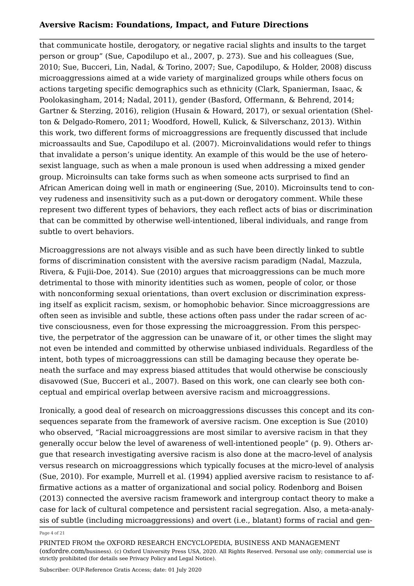that communicate hostile, derogatory, or negative racial slights and insults to the target person or group" (Sue, Capodilupo et al., [2007,](#page-20-1) p. 273). Sue and his colleagues (Sue, [2010](#page-19-0); Sue, Bucceri, Lin, Nadal, & Torino, [2007](#page-19-1); Sue, Capodilupo, & Holder, [2008](#page-19-2)) discuss microaggressions aimed at a wide variety of marginalized groups while others focus on actions targeting specific demographics such as ethnicity (Clark, Spanierman, Isaac, & Poolokasingham, [2014](#page-13-1); Nadal, [2011\)](#page-17-3), gender (Basford, Offermann, & Behrend, [2014](#page-13-2); Gartner & Sterzing, [2016](#page-15-1)), religion (Husain & Howard, [2017](#page-16-3)), or sexual orientation (Shelton & Delgado-Romero, [2011](#page-19-3); Woodford, Howell, Kulick, & Silverschanz, [2013\)](#page-20-2). Within this work, two different forms of microaggressions are frequently discussed that include microassaults and Sue, Capodilupo et al. [\(2007](#page-20-1)). Microinvalidations would refer to things that invalidate a person's unique identity. An example of this would be the use of heterosexist language, such as when a male pronoun is used when addressing a mixed gender group. Microinsults can take forms such as when someone acts surprised to find an African American doing well in math or engineering (Sue, [2010](#page-19-0)). Microinsults tend to convey rudeness and insensitivity such as a put-down or derogatory comment. While these represent two different types of behaviors, they each reflect acts of bias or discrimination that can be committed by otherwise well-intentioned, liberal individuals, and range from subtle to overt behaviors.

Microaggressions are not always visible and as such have been directly linked to subtle forms of discrimination consistent with the aversive racism paradigm (Nadal, Mazzula, Rivera, & Fujii-Doe, [2014\)](#page-18-4). Sue [\(2010\)](#page-19-0) argues that microaggressions can be much more detrimental to those with minority identities such as women, people of color, or those with nonconforming sexual orientations, than overt exclusion or discrimination expressing itself as explicit racism, sexism, or homophobic behavior. Since microaggressions are often seen as invisible and subtle, these actions often pass under the radar screen of active consciousness, even for those expressing the microaggression. From this perspective, the perpetrator of the aggression can be unaware of it, or other times the slight may not even be intended and committed by otherwise unbiased individuals. Regardless of the intent, both types of microaggressions can still be damaging because they operate beneath the surface and may express biased attitudes that would otherwise be consciously disavowed (Sue, Bucceri et al., [2007](#page-19-1)). Based on this work, one can clearly see both conceptual and empirical overlap between aversive racism and microaggressions.

Ironically, a good deal of research on microaggressions discusses this concept and its consequences separate from the framework of aversive racism. One exception is Sue ([2010](#page-19-0)) who observed, "Racial microaggressions are most similar to aversive racism in that they generally occur below the level of awareness of well-intentioned people" (p. 9). Others argue that research investigating aversive racism is also done at the macro-level of analysis versus research on microaggressions which typically focuses at the micro-level of analysis (Sue, [2010\)](#page-19-0). For example, Murrell et al. ([1994](#page-17-0)) applied aversive racism to resistance to affirmative actions as a matter of organizational and social policy. Rodenborg and Boisen ([2013\)](#page-19-4) connected the aversive racism framework and intergroup contact theory to make a case for lack of cultural competence and persistent racial segregation. Also, a meta-analysis of subtle (including microaggressions) and overt (i.e., blatant) forms of racial and gen

### Page 4 of 21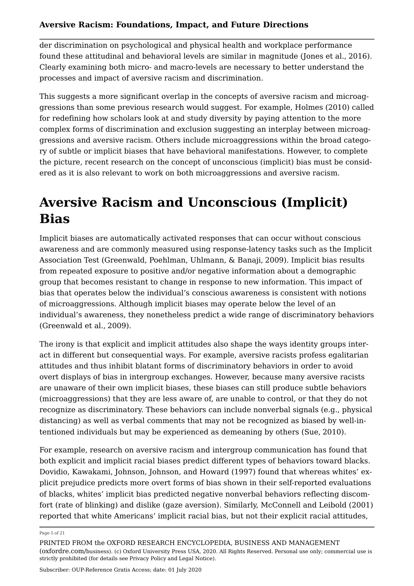der discrimination on psychological and physical health and workplace performance found these attitudinal and behavioral levels are similar in magnitude (Jones et al., [2016\)](#page-16-0). Clearly examining both micro- and macro-levels are necessary to better understand the processes and impact of aversive racism and discrimination.

This suggests a more significant overlap in the concepts of aversive racism and microaggressions than some previous research would suggest. For example, Holmes [\(2010\)](#page-16-4) called for redefining how scholars look at and study diversity by paying attention to the more complex forms of discrimination and exclusion suggesting an interplay between microaggressions and aversive racism. Others include microaggressions within the broad category of subtle or implicit biases that have behavioral manifestations. However, to complete the picture, recent research on the concept of unconscious (implicit) bias must be considered as it is also relevant to work on both microaggressions and aversive racism.

# **Aversive Racism and Unconscious (Implicit) Bias**

Implicit biases are automatically activated responses that can occur without conscious awareness and are commonly measured using response-latency tasks such as the Implicit Association Test (Greenwald, Poehlman, Uhlmann, & Banaji, [2009](#page-15-2)). Implicit bias results from repeated exposure to positive and/or negative information about a demographic group that becomes resistant to change in response to new information. This impact of bias that operates below the individual's conscious awareness is consistent with notions of microaggressions. Although implicit biases may operate below the level of an individual's awareness, they nonetheless predict a wide range of discriminatory behaviors (Greenwald et al., [2009](#page-15-2)).

The irony is that explicit and implicit attitudes also shape the ways identity groups interact in different but consequential ways. For example, aversive racists profess egalitarian attitudes and thus inhibit blatant forms of discriminatory behaviors in order to avoid overt displays of bias in intergroup exchanges. However, because many aversive racists are unaware of their own implicit biases, these biases can still produce subtle behaviors (microaggressions) that they are less aware of, are unable to control, or that they do not recognize as discriminatory. These behaviors can include nonverbal signals (e.g., physical distancing) as well as verbal comments that may not be recognized as biased by well-intentioned individuals but may be experienced as demeaning by others (Sue, [2010\)](#page-19-0).

For example, research on aversive racism and intergroup communication has found that both explicit and implicit racial biases predict different types of behaviors toward blacks. Dovidio, Kawakami, Johnson, Johnson, and Howard ([1997](#page-14-5)) found that whereas whites' explicit prejudice predicts more overt forms of bias shown in their self-reported evaluations of blacks, whites' implicit bias predicted negative nonverbal behaviors reflecting discomfort (rate of blinking) and dislike (gaze aversion). Similarly, McConnell and Leibold ([2001\)](#page-17-4) reported that white Americans' implicit racial bias, but not their explicit racial attitudes,

#### Page 5 of 21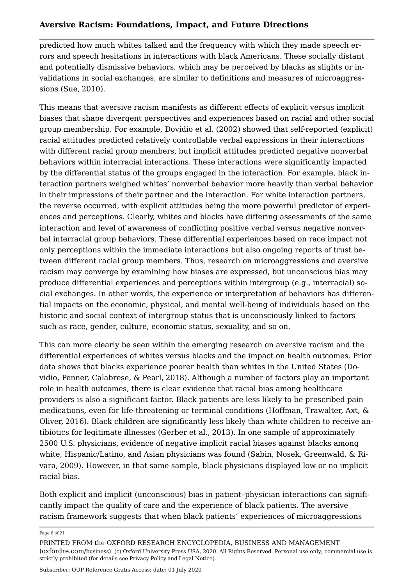predicted how much whites talked and the frequency with which they made speech errors and speech hesitations in interactions with black Americans. These socially distant and potentially dismissive behaviors, which may be perceived by blacks as slights or invalidations in social exchanges, are similar to definitions and measures of microaggressions (Sue, [2010](#page-19-0)).

This means that aversive racism manifests as different effects of explicit versus implicit biases that shape divergent perspectives and experiences based on racial and other social group membership. For example, Dovidio et al. ([2002\)](#page-14-4) showed that self-reported (explicit) racial attitudes predicted relatively controllable verbal expressions in their interactions with different racial group members, but implicit attitudes predicted negative nonverbal behaviors within interracial interactions. These interactions were significantly impacted by the differential status of the groups engaged in the interaction. For example, black interaction partners weighed whites' nonverbal behavior more heavily than verbal behavior in their impressions of their partner and the interaction. For white interaction partners, the reverse occurred, with explicit attitudes being the more powerful predictor of experiences and perceptions. Clearly, whites and blacks have differing assessments of the same interaction and level of awareness of conflicting positive verbal versus negative nonverbal interracial group behaviors. These differential experiences based on race impact not only perceptions within the immediate interactions but also ongoing reports of trust between different racial group members. Thus, research on microaggressions and aversive racism may converge by examining how biases are expressed, but unconscious bias may produce differential experiences and perceptions within intergroup (e.g., interracial) social exchanges. In other words, the experience or interpretation of behaviors has differential impacts on the economic, physical, and mental well-being of individuals based on the historic and social context of intergroup status that is unconsciously linked to factors such as race, gender, culture, economic status, sexuality, and so on.

This can more clearly be seen within the emerging research on aversive racism and the differential experiences of whites versus blacks and the impact on health outcomes. Prior data shows that blacks experience poorer health than whites in the United States (Dovidio, Penner, Calabrese, & Pearl, [2018](#page-14-6)). Although a number of factors play an important role in health outcomes, there is clear evidence that racial bias among healthcare providers is also a significant factor. Black patients are less likely to be prescribed pain medications, even for life-threatening or terminal conditions (Hoffman, Trawalter, Axt, & Oliver, [2016](#page-16-5)). Black children are significantly less likely than white children to receive antibiotics for legitimate illnesses (Gerber et al., [2013\)](#page-15-3). In one sample of approximately 2500 U.S. physicians, evidence of negative implicit racial biases against blacks among white, Hispanic/Latino, and Asian physicians was found (Sabin, Nosek, Greenwald, & Rivara, [2009\)](#page-19-5). However, in that same sample, black physicians displayed low or no implicit racial bias.

Both explicit and implicit (unconscious) bias in patient–physician interactions can significantly impact the quality of care and the experience of black patients. The aversive racism framework suggests that when black patients' experiences of microaggressions

#### Page 6 of 21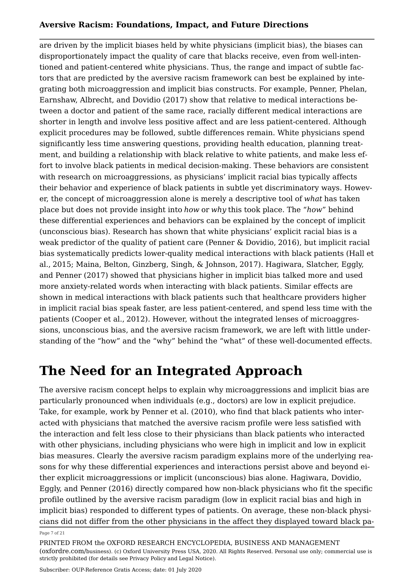are driven by the implicit biases held by white physicians (implicit bias), the biases can disproportionately impact the quality of care that blacks receive, even from well-intentioned and patient-centered white physicians. Thus, the range and impact of subtle factors that are predicted by the aversive racism framework can best be explained by integrating both microaggression and implicit bias constructs. For example, Penner, Phelan, Earnshaw, Albrecht, and Dovidio [\(2017](#page-19-6)) show that relative to medical interactions between a doctor and patient of the same race, racially different medical interactions are shorter in length and involve less positive affect and are less patient-centered. Although explicit procedures may be followed, subtle differences remain. White physicians spend significantly less time answering questions, providing health education, planning treatment, and building a relationship with black relative to white patients, and make less effort to involve black patients in medical decision-making. These behaviors are consistent with research on microaggressions, as physicians' implicit racial bias typically affects their behavior and experience of black patients in subtle yet discriminatory ways. However, the concept of microaggression alone is merely a descriptive tool of *what* has taken place but does not provide insight into *how* or *why* this took place. The "*how*" behind these differential experiences and behaviors can be explained by the concept of implicit (unconscious bias). Research has shown that white physicians' explicit racial bias is a weak predictor of the quality of patient care (Penner & Dovidio, [2016\)](#page-18-5), but implicit racial bias systematically predicts lower-quality medical interactions with black patients (Hall et al., [2015](#page-16-6); Maina, Belton, Ginzberg, Singh, & Johnson, [2017](#page-17-5)). Hagiwara, Slatcher, Eggly, and Penner ([2017](#page-16-7)) showed that physicians higher in implicit bias talked more and used more anxiety-related words when interacting with black patients. Similar effects are shown in medical interactions with black patients such that healthcare providers higher in implicit racial bias speak faster, are less patient-centered, and spend less time with the patients (Cooper et al., [2012](#page-13-3)). However, without the integrated lenses of microaggressions, unconscious bias, and the aversive racism framework, we are left with little understanding of the "how" and the "why" behind the "what" of these well-documented effects.

## **The Need for an Integrated Approach**

The aversive racism concept helps to explain why microaggressions and implicit bias are particularly pronounced when individuals (e.g., doctors) are low in explicit prejudice. Take, for example, work by Penner et al. [\(2010](#page-18-6)), who find that black patients who interacted with physicians that matched the aversive racism profile were less satisfied with the interaction and felt less close to their physicians than black patients who interacted with other physicians, including physicians who were high in implicit and low in explicit bias measures. Clearly the aversive racism paradigm explains more of the underlying reasons for why these differential experiences and interactions persist above and beyond either explicit microaggressions or implicit (unconscious) bias alone. Hagiwara, Dovidio, Eggly, and Penner [\(2016](#page-16-8)) directly compared how non-black physicians who fit the specific profile outlined by the aversive racism paradigm (low in explicit racial bias and high in implicit bias) responded to different types of patients. On average, these non-black physicians did not differ from the other physicians in the affect they displayed toward black pa

### Page 7 of 21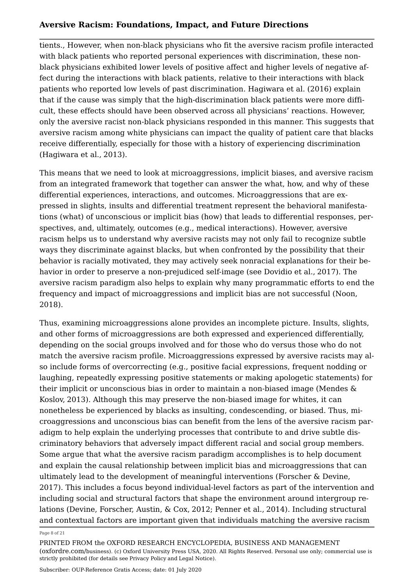tients., However, when non-black physicians who fit the aversive racism profile interacted with black patients who reported personal experiences with discrimination, these nonblack physicians exhibited lower levels of positive affect and higher levels of negative affect during the interactions with black patients, relative to their interactions with black patients who reported low levels of past discrimination. Hagiwara et al. [\(2016\)](#page-16-8) explain that if the cause was simply that the high-discrimination black patients were more difficult, these effects should have been observed across all physicians' reactions. However, only the aversive racist non-black physicians responded in this manner. This suggests that aversive racism among white physicians can impact the quality of patient care that blacks receive differentially, especially for those with a history of experiencing discrimination (Hagiwara et al., [2013\)](#page-16-9).

This means that we need to look at microaggressions, implicit biases, and aversive racism from an integrated framework that together can answer the what, how, and why of these differential experiences, interactions, and outcomes. Microaggressions that are expressed in slights, insults and differential treatment represent the behavioral manifestations (what) of unconscious or implicit bias (how) that leads to differential responses, perspectives, and, ultimately, outcomes (e.g., medical interactions). However, aversive racism helps us to understand why aversive racists may not only fail to recognize subtle ways they discriminate against blacks, but when confronted by the possibility that their behavior is racially motivated, they may actively seek nonracial explanations for their behavior in order to preserve a non-prejudiced self-image (see Dovidio et al., [2017\)](#page-14-0). The aversive racism paradigm also helps to explain why many programmatic efforts to end the frequency and impact of microaggressions and implicit bias are not successful (Noon, [2018](#page-18-7)).

Thus, examining microaggressions alone provides an incomplete picture. Insults, slights, and other forms of microaggressions are both expressed and experienced differentially, depending on the social groups involved and for those who do versus those who do not match the aversive racism profile. Microaggressions expressed by aversive racists may also include forms of overcorrecting (e.g., positive facial expressions, frequent nodding or laughing, repeatedly expressing positive statements or making apologetic statements) for their implicit or unconscious bias in order to maintain a non-biased image (Mendes & Koslov, [2013](#page-17-6)). Although this may preserve the non-biased image for whites, it can nonetheless be experienced by blacks as insulting, condescending, or biased. Thus, microaggressions and unconscious bias can benefit from the lens of the aversive racism paradigm to help explain the underlying processes that contribute to and drive subtle discriminatory behaviors that adversely impact different racial and social group members. Some argue that what the aversive racism paradigm accomplishes is to help document and explain the causal relationship between implicit bias and microaggressions that can ultimately lead to the development of meaningful interventions (Forscher & Devine, [2017](#page-15-4)). This includes a focus beyond individual-level factors as part of the intervention and including social and structural factors that shape the environment around intergroup relations (Devine, Forscher, Austin, & Cox, [2012;](#page-14-7) Penner et al., [2014\)](#page-18-1). Including structural and contextual factors are important given that individuals matching the aversive racism

### Page 8 of 21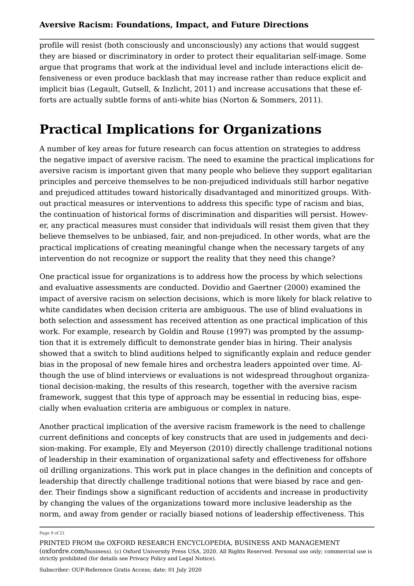profile will resist (both consciously and unconsciously) any actions that would suggest they are biased or discriminatory in order to protect their equalitarian self-image. Some argue that programs that work at the individual level and include interactions elicit defensiveness or even produce backlash that may increase rather than reduce explicit and implicit bias (Legault, Gutsell, & Inzlicht, [2011](#page-17-7)) and increase accusations that these efforts are actually subtle forms of anti-white bias (Norton & Sommers, [2011](#page-18-8)).

# **Practical Implications for Organizations**

A number of key areas for future research can focus attention on strategies to address the negative impact of aversive racism. The need to examine the practical implications for aversive racism is important given that many people who believe they support egalitarian principles and perceive themselves to be non-prejudiced individuals still harbor negative and prejudiced attitudes toward historically disadvantaged and minoritized groups. Without practical measures or interventions to address this specific type of racism and bias, the continuation of historical forms of discrimination and disparities will persist. However, any practical measures must consider that individuals will resist them given that they believe themselves to be unbiased, fair, and non-prejudiced. In other words, what are the practical implications of creating meaningful change when the necessary targets of any intervention do not recognize or support the reality that they need this change?

One practical issue for organizations is to address how the process by which selections and evaluative assessments are conducted. Dovidio and Gaertner ([2000](#page-14-3)) examined the impact of aversive racism on selection decisions, which is more likely for black relative to white candidates when decision criteria are ambiguous. The use of blind evaluations in both selection and assessment has received attention as one practical implication of this work. For example, research by Goldin and Rouse ([1997](#page-15-5)) was prompted by the assumption that it is extremely difficult to demonstrate gender bias in hiring. Their analysis showed that a switch to blind auditions helped to significantly explain and reduce gender bias in the proposal of new female hires and orchestra leaders appointed over time. Although the use of blind interviews or evaluations is not widespread throughout organizational decision-making, the results of this research, together with the aversive racism framework, suggest that this type of approach may be essential in reducing bias, especially when evaluation criteria are ambiguous or complex in nature.

Another practical implication of the aversive racism framework is the need to challenge current definitions and concepts of key constructs that are used in judgements and decision-making. For example, Ely and Meyerson [\(2010\)](#page-14-8) directly challenge traditional notions of leadership in their examination of organizational safety and effectiveness for offshore oil drilling organizations. This work put in place changes in the definition and concepts of leadership that directly challenge traditional notions that were biased by race and gender. Their findings show a significant reduction of accidents and increase in productivity by changing the values of the organizations toward more inclusive leadership as the norm, and away from gender or racially biased notions of leadership effectiveness. This

#### Page 9 of 21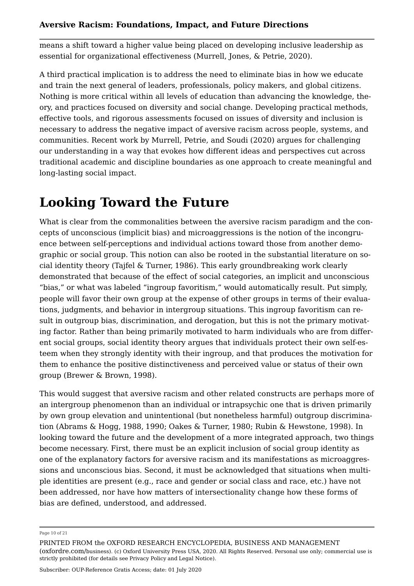means a shift toward a higher value being placed on developing inclusive leadership as essential for organizational effectiveness (Murrell, Jones, & Petrie, [2020](#page-17-8)).

A third practical implication is to address the need to eliminate bias in how we educate and train the next general of leaders, professionals, policy makers, and global citizens. Nothing is more critical within all levels of education than advancing the knowledge, theory, and practices focused on diversity and social change. Developing practical methods, effective tools, and rigorous assessments focused on issues of diversity and inclusion is necessary to address the negative impact of aversive racism across people, systems, and communities. Recent work by Murrell, Petrie, and Soudi [\(2020\)](#page-17-9) argues for challenging our understanding in a way that evokes how different ideas and perspectives cut across traditional academic and discipline boundaries as one approach to create meaningful and long-lasting social impact.

# **Looking Toward the Future**

What is clear from the commonalities between the aversive racism paradigm and the concepts of unconscious (implicit bias) and microaggressions is the notion of the incongruence between self-perceptions and individual actions toward those from another demographic or social group. This notion can also be rooted in the substantial literature on social identity theory (Tajfel & Turner, [1986](#page-20-3)). This early groundbreaking work clearly demonstrated that because of the effect of social categories, an implicit and unconscious "bias," or what was labeled "ingroup favoritism," would automatically result. Put simply, people will favor their own group at the expense of other groups in terms of their evaluations, judgments, and behavior in intergroup situations. This ingroup favoritism can result in outgroup bias, discrimination, and derogation, but this is not the primary motivating factor. Rather than being primarily motivated to harm individuals who are from different social groups, social identity theory argues that individuals protect their own self-esteem when they strongly identity with their ingroup, and that produces the motivation for them to enhance the positive distinctiveness and perceived value or status of their own group (Brewer & Brown, [1998](#page-13-4)).

This would suggest that aversive racism and other related constructs are perhaps more of an intergroup phenomenon than an individual or intrapsychic one that is driven primarily by own group elevation and unintentional (but nonetheless harmful) outgroup discrimination (Abrams & Hogg, [1988](#page-13-5), [1990](#page-13-6); Oakes & Turner, [1980](#page-18-9); Rubin & Hewstone, [1998\)](#page-19-7). In looking toward the future and the development of a more integrated approach, two things become necessary. First, there must be an explicit inclusion of social group identity as one of the explanatory factors for aversive racism and its manifestations as microaggressions and unconscious bias. Second, it must be acknowledged that situations when multiple identities are present (e.g., race and gender or social class and race, etc.) have not been addressed, nor have how matters of intersectionality change how these forms of bias are defined, understood, and addressed.

#### Page 10 of 21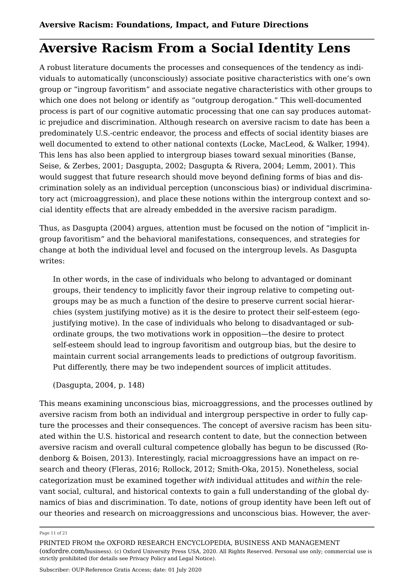## **Aversive Racism From a Social Identity Lens**

A robust literature documents the processes and consequences of the tendency as individuals to automatically (unconsciously) associate positive characteristics with one's own group or "ingroup favoritism" and associate negative characteristics with other groups to which one does not belong or identify as "outgroup derogation." This well-documented process is part of our cognitive automatic processing that one can say produces automatic prejudice and discrimination. Although research on aversive racism to date has been a predominately U.S.-centric endeavor, the process and effects of social identity biases are well documented to extend to other national contexts (Locke, MacLeod, & Walker, [1994](#page-17-10)). This lens has also been applied to intergroup biases toward sexual minorities (Banse, Seise, & Zerbes, [2001;](#page-13-7) Dasgupta, [2002](#page-13-8); Dasgupta & Rivera, [2004](#page-14-9); Lemm, [2001](#page-17-11)). This would suggest that future research should move beyond defining forms of bias and discrimination solely as an individual perception (unconscious bias) or individual discriminatory act (microaggression), and place these notions within the intergroup context and social identity effects that are already embedded in the aversive racism paradigm.

Thus, as Dasgupta [\(2004](#page-14-10)) argues, attention must be focused on the notion of "implicit ingroup favoritism" and the behavioral manifestations, consequences, and strategies for change at both the individual level and focused on the intergroup levels. As Dasgupta writes:

In other words, in the case of individuals who belong to advantaged or dominant groups, their tendency to implicitly favor their ingroup relative to competing outgroups may be as much a function of the desire to preserve current social hierarchies (system justifying motive) as it is the desire to protect their self-esteem (egojustifying motive). In the case of individuals who belong to disadvantaged or subordinate groups, the two motivations work in opposition—the desire to protect self-esteem should lead to ingroup favoritism and outgroup bias, but the desire to maintain current social arrangements leads to predictions of outgroup favoritism. Put differently, there may be two independent sources of implicit attitudes.

(Dasgupta, [2004,](#page-14-10) p. 148)

This means examining unconscious bias, microaggressions, and the processes outlined by aversive racism from both an individual and intergroup perspective in order to fully capture the processes and their consequences. The concept of aversive racism has been situated within the U.S. historical and research content to date, but the connection between aversive racism and overall cultural competence globally has begun to be discussed (Rodenborg & Boisen, [2013](#page-19-4)). Interestingly, racial microaggressions have an impact on research and theory (Fleras, [2016;](#page-15-6) Rollock, [2012;](#page-19-8) Smith-Oka, [2015\)](#page-19-9). Nonetheless, social categorization must be examined together *with* individual attitudes and *within* the relevant social, cultural, and historical contexts to gain a full understanding of the global dynamics of bias and discrimination. To date, notions of group identity have been left out of our theories and research on microaggressions and unconscious bias. However, the aver

#### Page 11 of 21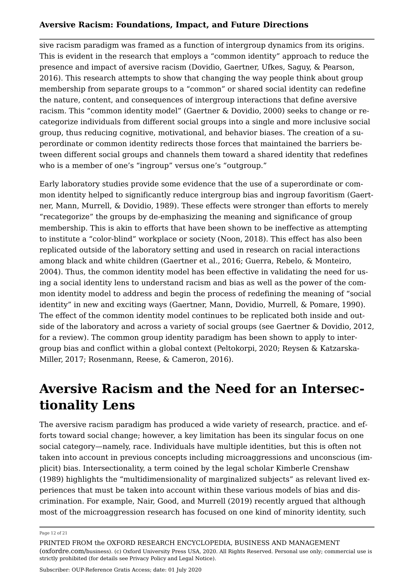sive racism paradigm was framed as a function of intergroup dynamics from its origins. This is evident in the research that employs a "common identity" approach to reduce the presence and impact of aversive racism (Dovidio, Gaertner, Ufkes, Saguy, & Pearson, [2016](#page-14-11)). This research attempts to show that changing the way people think about group membership from separate groups to a "common" or shared social identity can redefine the nature, content, and consequences of intergroup interactions that define aversive racism. This "common identity model" (Gaertner & Dovidio, [2000](#page-15-7)) seeks to change or recategorize individuals from different social groups into a single and more inclusive social group, thus reducing cognitive, motivational, and behavior biases. The creation of a superordinate or common identity redirects those forces that maintained the barriers between different social groups and channels them toward a shared identity that redefines who is a member of one's "ingroup" versus one's "outgroup."

Early laboratory studies provide some evidence that the use of a superordinate or common identity helped to significantly reduce intergroup bias and ingroup favoritism (Gaertner, Mann, Murrell, & Dovidio, [1989](#page-15-8)). These effects were stronger than efforts to merely "recategorize" the groups by de-emphasizing the meaning and significance of group membership. This is akin to efforts that have been shown to be ineffective as attempting to institute a "color-blind" workplace or society (Noon, [2018](#page-18-7)). This effect has also been replicated outside of the laboratory setting and used in research on racial interactions among black and white children (Gaertner et al., [2016](#page-15-9); Guerra, Rebelo, & Monteiro, [2004](#page-16-10)). Thus, the common identity model has been effective in validating the need for using a social identity lens to understand racism and bias as well as the power of the common identity model to address and begin the process of redefining the meaning of "social identity" in new and exciting ways (Gaertner, Mann, Dovidio, Murrell, & Pomare, [1990](#page-15-10)). The effect of the common identity model continues to be replicated both inside and outside of the laboratory and across a variety of social groups (see Gaertner & Dovidio, [2012](#page-15-11), for a review). The common group identity paradigm has been shown to apply to intergroup bias and conflict within a global context (Peltokorpi, [2020](#page-18-10); Reysen & Katzarska-Miller, [2017](#page-19-10); Rosenmann, Reese, & Cameron, [2016\)](#page-19-11).

## **Aversive Racism and the Need for an Intersectionality Lens**

The aversive racism paradigm has produced a wide variety of research, practice. and efforts toward social change; however, a key limitation has been its singular focus on one social category—namely, race. Individuals have multiple identities, but this is often not taken into account in previous concepts including microaggressions and unconscious (implicit) bias. Intersectionality, a term coined by the legal scholar Kimberle Crenshaw ([1989](#page-13-9)) highlights the "multidimensionality of marginalized subjects" as relevant lived experiences that must be taken into account within these various models of bias and discrimination. For example, Nair, Good, and Murrell ([2019\)](#page-18-11) recently argued that although most of the microaggression research has focused on one kind of minority identity, such

#### Page 12 of 21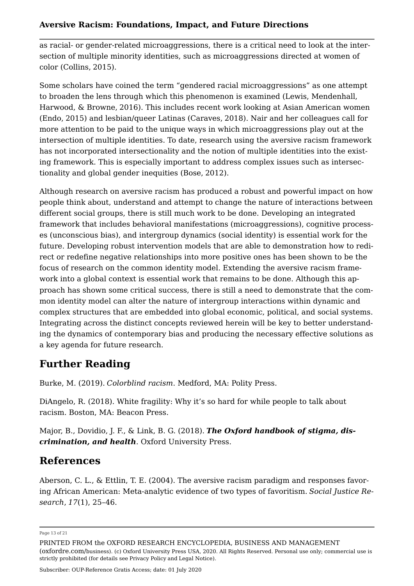as racial- or gender-related microaggressions, there is a critical need to look at the intersection of multiple minority identities, such as microaggressions directed at women of color (Collins, [2015](#page-13-10)).

Some scholars have coined the term "gendered racial microaggressions" as one attempt to broaden the lens through which this phenomenon is examined (Lewis, Mendenhall, Harwood, & Browne, [2016\)](#page-17-12). This includes recent work looking at Asian American women (Endo, [2015](#page-14-12)) and lesbian/queer Latinas (Caraves, [2018\)](#page-13-11). Nair and her colleagues call for more attention to be paid to the unique ways in which microaggressions play out at the intersection of multiple identities. To date, research using the aversive racism framework has not incorporated intersectionality and the notion of multiple identities into the existing framework. This is especially important to address complex issues such as intersectionality and global gender inequities (Bose, [2012\)](#page-13-12).

Although research on aversive racism has produced a robust and powerful impact on how people think about, understand and attempt to change the nature of interactions between different social groups, there is still much work to be done. Developing an integrated framework that includes behavioral manifestations (microaggressions), cognitive processes (unconscious bias), and intergroup dynamics (social identity) is essential work for the future. Developing robust intervention models that are able to demonstration how to redirect or redefine negative relationships into more positive ones has been shown to be the focus of research on the common identity model. Extending the aversive racism framework into a global context is essential work that remains to be done. Although this approach has shown some critical success, there is still a need to demonstrate that the common identity model can alter the nature of intergroup interactions within dynamic and complex structures that are embedded into global economic, political, and social systems. Integrating across the distinct concepts reviewed herein will be key to better understanding the dynamics of contemporary bias and producing the necessary effective solutions as a key agenda for future research.

## **Further Reading**

Burke, M. (2019). *Colorblind racism*. Medford, MA: Polity Press.

DiAngelo, R. (2018). White fragility: Why it's so hard for while people to talk about racism. Boston, MA: Beacon Press.

Major, B., Dovidio, J. F., & Link, B. G. (2018). *[The Oxford handbook of stigma, dis](https://www.oxfordhandbooks.com/view/10.1093/oxfordhb/9780190243470.001.0001/oxfordhb-9780190243470)[crimination, and health](https://www.oxfordhandbooks.com/view/10.1093/oxfordhb/9780190243470.001.0001/oxfordhb-9780190243470)*. Oxford University Press.

## **References**

<span id="page-12-0"></span>Aberson, C. L., & Ettlin, T. E. (2004). The aversive racism paradigm and responses favoring African American: Meta-analytic evidence of two types of favoritism. *Social Justice Research*, *17*(1), 25–46.

Page 13 of 21

PRINTED FROM the OXFORD RESEARCH ENCYCLOPEDIA, BUSINESS AND MANAGEMENT (oxfordre.com/business). (c) Oxford University Press USA, 2020. All Rights Reserved. Personal use only; commercial use is strictly prohibited (for details see [Privacy Policy](https://global.oup.com/privacy) and [Legal Notice\)](https://oxfordre.com/page/legal-notice).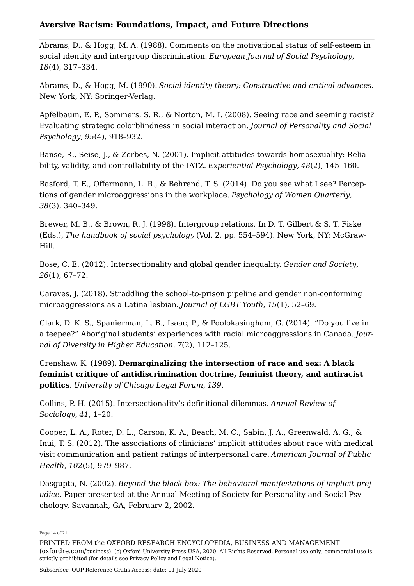<span id="page-13-5"></span>Abrams, D., & Hogg, M. A. (1988). Comments on the motivational status of self-esteem in social identity and intergroup discrimination. *European Journal of Social Psychology*, *18*(4), 317–334.

<span id="page-13-6"></span>Abrams, D., & Hogg, M. (1990). *Social identity theory: Constructive and critical advances*. New York, NY: Springer-Verlag.

<span id="page-13-0"></span>Apfelbaum, E. P., Sommers, S. R., & Norton, M. I. (2008). Seeing race and seeming racist? Evaluating strategic colorblindness in social interaction. *Journal of Personality and Social Psychology*, *95*(4), 918–932.

<span id="page-13-7"></span>Banse, R., Seise, J., & Zerbes, N. (2001). Implicit attitudes towards homosexuality: Reliability, validity, and controllability of the IATZ. *Experiential Psychology*, *48*(2), 145–160.

<span id="page-13-2"></span>Basford, T. E., Offermann, L. R., & Behrend, T. S. (2014). Do you see what I see? Perceptions of gender microaggressions in the workplace. *Psychology of Women Quarterly*, *38*(3), 340–349.

<span id="page-13-4"></span>Brewer, M. B., & Brown, R. J. (1998). Intergroup relations. In D. T. Gilbert & S. T. Fiske (Eds.), *The handbook of social psychology* (Vol. 2, pp. 554–594). New York, NY: McGraw-Hill.

<span id="page-13-12"></span>Bose, C. E. (2012). Intersectionality and global gender inequality. *Gender and Society*, *26*(1), 67–72.

<span id="page-13-11"></span>Caraves, J. (2018). Straddling the school-to-prison pipeline and gender non-conforming microaggressions as a Latina lesbian. *Journal of LGBT Youth*, *15*(1), 52–69.

<span id="page-13-1"></span>Clark, D. K. S., Spanierman, L. B., Isaac, P., & Poolokasingham, G. (2014). "Do you live in a teepee?" Aboriginal students' experiences with racial microaggressions in Canada. *Journal of Diversity in Higher Education*, *7*(2), 112–125.

<span id="page-13-9"></span>Crenshaw, K. (1989). **[Demarginalizing the intersection of race and sex: A black](https://heinonline.org/HOL/LandingPage?handle=hein.journals/uchclf1989&div=10&id=&page=)  [feminist critique of antidiscrimination doctrine, feminist theory, and antiracist](https://heinonline.org/HOL/LandingPage?handle=hein.journals/uchclf1989&div=10&id=&page=) [politics](https://heinonline.org/HOL/LandingPage?handle=hein.journals/uchclf1989&div=10&id=&page=)**. *University of Chicago Legal Forum*, *139*.

<span id="page-13-10"></span>Collins, P. H. (2015). Intersectionality's definitional dilemmas. *Annual Review of Sociology*, *41*, 1–20.

<span id="page-13-3"></span>Cooper, L. A., Roter, D. L., Carson, K. A., Beach, M. C., Sabin, J. A., Greenwald, A. G., & Inui, T. S. (2012). The associations of clinicians' implicit attitudes about race with medical visit communication and patient ratings of interpersonal care. *American Journal of Public Health*, *102*(5), 979–987.

<span id="page-13-8"></span>Dasgupta, N. (2002). *Beyond the black box: The behavioral manifestations of implicit prejudice*. Paper presented at the Annual Meeting of Society for Personality and Social Psychology, Savannah, GA, February 2, 2002.

Page 14 of 21

PRINTED FROM the OXFORD RESEARCH ENCYCLOPEDIA, BUSINESS AND MANAGEMENT (oxfordre.com/business). (c) Oxford University Press USA, 2020. All Rights Reserved. Personal use only; commercial use is strictly prohibited (for details see [Privacy Policy](https://global.oup.com/privacy) and [Legal Notice\)](https://oxfordre.com/page/legal-notice).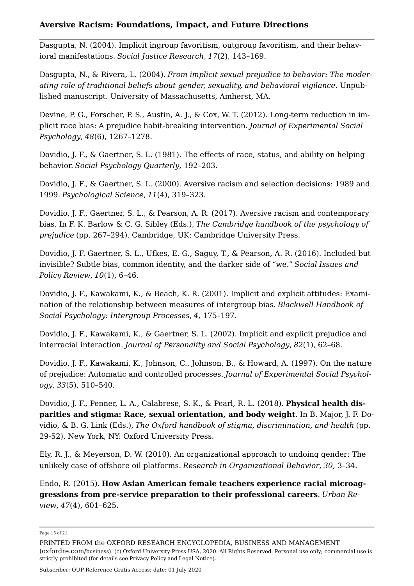<span id="page-14-10"></span>Dasgupta, N. (2004). Implicit ingroup favoritism, outgroup favoritism, and their behavioral manifestations. *Social Justice Research*, *17*(2), 143–169.

<span id="page-14-9"></span>Dasgupta, N., & Rivera, L. (2004). *From implicit sexual prejudice to behavior: The moderating role of traditional beliefs about gender, sexuality, and behavioral vigilance*. Unpublished manuscript. University of Massachusetts, Amherst, MA.

<span id="page-14-7"></span>Devine, P. G., Forscher, P. S., Austin, A. J., & Cox, W. T. (2012). Long-term reduction in implicit race bias: A prejudice habit-breaking intervention. *Journal of Experimental Social Psychology*, *48*(6), 1267–1278.

<span id="page-14-1"></span>Dovidio, J. F., & Gaertner, S. L. (1981). The effects of race, status, and ability on helping behavior. *Social Psychology Quarterly*, 192–203.

<span id="page-14-3"></span>Dovidio, J. F., & Gaertner, S. L. (2000). Aversive racism and selection decisions: 1989 and 1999. *Psychological Science*, *11*(4), 319–323.

<span id="page-14-0"></span>Dovidio, J. F., Gaertner, S. L., & Pearson, A. R. (2017). Aversive racism and contemporary bias. In F. K. Barlow & C. G. Sibley (Eds.), *The Cambridge handbook of the psychology of prejudice* (pp. 267–294). Cambridge, UK: Cambridge University Press.

<span id="page-14-11"></span>Dovidio, J. F. Gaertner, S. L., Ufkes, E. G., Saguy, T., & Pearson, A. R. (2016). Included but invisible? Subtle bias, common identity, and the darker side of "we." *Social Issues and Policy Review*, *10*(1), 6–46.

<span id="page-14-2"></span>Dovidio, J. F., Kawakami, K., & Beach, K. R. (2001). Implicit and explicit attitudes: Examination of the relationship between measures of intergroup bias. *Blackwell Handbook of Social Psychology: Intergroup Processes*, *4*, 175–197.

<span id="page-14-4"></span>Dovidio, J. F., Kawakami, K., & Gaertner, S. L. (2002). Implicit and explicit prejudice and interracial interaction. *Journal of Personality and Social Psychology*, *82*(1), 62–68.

<span id="page-14-5"></span>Dovidio, J. F., Kawakami, K., Johnson, C., Johnson, B., & Howard, A. (1997). On the nature of prejudice: Automatic and controlled processes. *Journal of Experimental Social Psychology*, *33*(5), 510–540.

<span id="page-14-6"></span>Dovidio, J. F., Penner, L. A., Calabrese, S. K., & Pearl, R. L. (2018). **[Physical health dis](https://www.oxfordhandbooks.com/view/10.1093/oxfordhb/9780190243470.001.0001/oxfordhb-9780190243470-e-2)[parities and stigma: Race, sexual orientation, and body weight](https://www.oxfordhandbooks.com/view/10.1093/oxfordhb/9780190243470.001.0001/oxfordhb-9780190243470-e-2)**. In B. Major, J. F. Dovidio, & B. G. Link (Eds.), *The Oxford handbook of stigma, discrimination, and health* (pp. 29-52). New York, NY: Oxford University Press.

<span id="page-14-8"></span>Ely, R. J., & Meyerson, D. W. (2010). An organizational approach to undoing gender: The unlikely case of offshore oil platforms. *Research in Organizational Behavior*, *30*, 3–34.

<span id="page-14-12"></span>Endo, R. (2015). **[How Asian American female teachers experience racial microag](http://dx.doi.org/10.1007/s11256-015-0326-9)[gressions from pre-service preparation to their professional careers](http://dx.doi.org/10.1007/s11256-015-0326-9)**. *Urban Review*, *47*(4), 601–625.

Page 15 of 21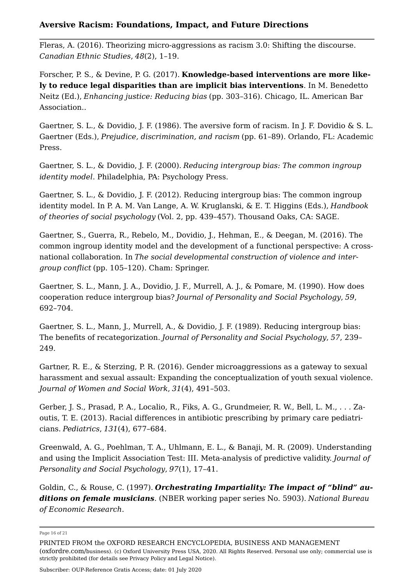<span id="page-15-6"></span>Fleras, A. (2016). Theorizing micro-aggressions as racism 3.0: Shifting the discourse. *Canadian Ethnic Studies*, *48*(2), 1–19.

<span id="page-15-4"></span>Forscher, P. S., & Devine, P. G. (2017). **[Knowledge-based interventions are more like](http://dx.doi.org/10.31234/osf.io/8cgg5)[ly to reduce legal disparities than are implicit bias interventions](http://dx.doi.org/10.31234/osf.io/8cgg5)**. In M. Benedetto Neitz (Ed.), *Enhancing justice: Reducing bias* (pp. 303–316). Chicago, IL. American Bar Association..

<span id="page-15-0"></span>Gaertner, S. L., & Dovidio, J. F. (1986). The aversive form of racism. In J. F. Dovidio & S. L. Gaertner (Eds.), *Prejudice, discrimination, and racism* (pp. 61–89). Orlando, FL: Academic Press.

<span id="page-15-7"></span>Gaertner, S. L., & Dovidio, J. F. (2000). *Reducing intergroup bias: The common ingroup identity model*. Philadelphia, PA: Psychology Press.

<span id="page-15-11"></span>Gaertner, S. L., & Dovidio, J. F. (2012). Reducing intergroup bias: The common ingroup identity model. In P. A. M. Van Lange, A. W. Kruglanski, & E. T. Higgins (Eds.), *Handbook of theories of social psychology* (Vol. 2, pp. 439–457). Thousand Oaks, CA: SAGE.

<span id="page-15-9"></span>Gaertner, S., Guerra, R., Rebelo, M., Dovidio, J., Hehman, E., & Deegan, M. (2016). The common ingroup identity model and the development of a functional perspective: A crossnational collaboration. In *The social developmental construction of violence and intergroup conflict* (pp. 105–120). Cham: Springer.

<span id="page-15-10"></span>Gaertner, S. L., Mann, J. A., Dovidio, J. F., Murrell, A. J., & Pomare, M. (1990). How does cooperation reduce intergroup bias? *Journal of Personality and Social Psychology*, *59*, 692–704.

<span id="page-15-8"></span>Gaertner, S. L., Mann, J., Murrell, A., & Dovidio, J. F. (1989). Reducing intergroup bias: The benefits of recategorization. *Journal of Personality and Social Psychology*, *57*, 239– 249.

<span id="page-15-1"></span>Gartner, R. E., & Sterzing, P. R. (2016). Gender microaggressions as a gateway to sexual harassment and sexual assault: Expanding the conceptualization of youth sexual violence. *Journal of Women and Social Work*, *31*(4), 491–503.

<span id="page-15-3"></span>Gerber, J. S., Prasad, P. A., Localio, R., Fiks, A. G., Grundmeier, R. W., Bell, L. M., . . . Zaoutis, T. E. (2013). Racial differences in antibiotic prescribing by primary care pediatricians. *Pediatrics*, *131*(4), 677–684.

<span id="page-15-2"></span>Greenwald, A. G., Poehlman, T. A., Uhlmann, E. L., & Banaji, M. R. (2009). Understanding and using the Implicit Association Test: III. Meta-analysis of predictive validity. *Journal of Personality and Social Psychology*, *97*(1), 17–41.

<span id="page-15-5"></span>Goldin, C., & Rouse, C. (1997). *[Orchestrating Impartiality: The impact of "blind" au](https://www.nber.org/papers/w5903)[ditions on female musicians](https://www.nber.org/papers/w5903)*. (NBER working paper series No. 5903). *National Bureau of Economic Research*.

Page 16 of 21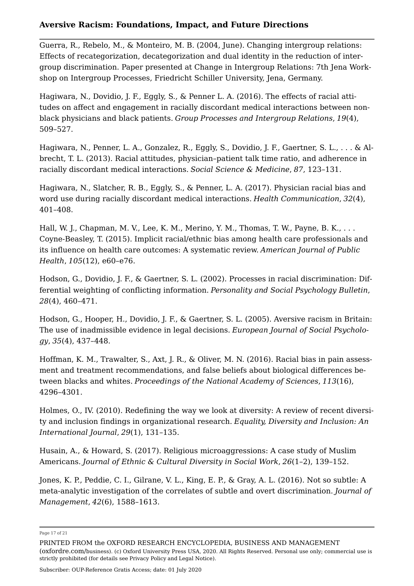<span id="page-16-10"></span>Guerra, R., Rebelo, M., & Monteiro, M. B. (2004, June). Changing intergroup relations: Effects of recategorization, decategorization and dual identity in the reduction of intergroup discrimination. Paper presented at Change in Intergroup Relations: 7th Jena Workshop on Intergroup Processes, Friedricht Schiller University, Jena, Germany.

<span id="page-16-8"></span>Hagiwara, N., Dovidio, J. F., Eggly, S., & Penner L. A. (2016). The effects of racial attitudes on affect and engagement in racially discordant medical interactions between nonblack physicians and black patients. *Group Processes and Intergroup Relations*, *19*(4), 509–527.

<span id="page-16-9"></span>Hagiwara, N., Penner, L. A., Gonzalez, R., Eggly, S., Dovidio, J. F., Gaertner, S. L., . . . & Albrecht, T. L. (2013). Racial attitudes, physician–patient talk time ratio, and adherence in racially discordant medical interactions. *Social Science & Medicine*, *87*, 123–131.

<span id="page-16-7"></span>Hagiwara, N., Slatcher, R. B., Eggly, S., & Penner, L. A. (2017). Physician racial bias and word use during racially discordant medical interactions. *Health Communication*, *32*(4), 401–408.

<span id="page-16-6"></span>Hall, W. J., Chapman, M. V., Lee, K. M., Merino, Y. M., Thomas, T. W., Payne, B. K., . . . Coyne-Beasley, T. (2015). Implicit racial/ethnic bias among health care professionals and its influence on health care outcomes: A systematic review. *American Journal of Public Health*, *105*(12), e60–e76.

<span id="page-16-1"></span>Hodson, G., Dovidio, J. F., & Gaertner, S. L. (2002). Processes in racial discrimination: Differential weighting of conflicting information. *Personality and Social Psychology Bulletin*, *28*(4), 460–471.

<span id="page-16-2"></span>Hodson, G., Hooper, H., Dovidio, J. F., & Gaertner, S. L. (2005). Aversive racism in Britain: The use of inadmissible evidence in legal decisions. *European Journal of Social Psychology*, *35*(4), 437–448.

<span id="page-16-5"></span>Hoffman, K. M., Trawalter, S., Axt, J. R., & Oliver, M. N. (2016). Racial bias in pain assessment and treatment recommendations, and false beliefs about biological differences between blacks and whites. *Proceedings of the National Academy of Sciences*, *113*(16), 4296–4301.

<span id="page-16-4"></span>Holmes, O., IV. (2010). Redefining the way we look at diversity: A review of recent diversity and inclusion findings in organizational research. *Equality, Diversity and Inclusion: An International Journal*, *29*(1), 131–135.

<span id="page-16-3"></span>Husain, A., & Howard, S. (2017). Religious microaggressions: A case study of Muslim Americans. *Journal of Ethnic & Cultural Diversity in Social Work*, *26*(1–2), 139–152.

<span id="page-16-0"></span>Jones, K. P., Peddie, C. I., Gilrane, V. L., King, E. P., & Gray, A. L. (2016). Not so subtle: A meta-analytic investigation of the correlates of subtle and overt discrimination. *Journal of Management*, *42*(6), 1588–1613.

Page 17 of 21

PRINTED FROM the OXFORD RESEARCH ENCYCLOPEDIA, BUSINESS AND MANAGEMENT (oxfordre.com/business). (c) Oxford University Press USA, 2020. All Rights Reserved. Personal use only; commercial use is strictly prohibited (for details see [Privacy Policy](https://global.oup.com/privacy) and [Legal Notice\)](https://oxfordre.com/page/legal-notice).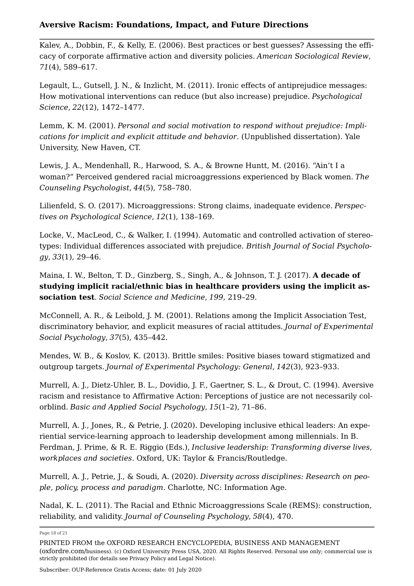<span id="page-17-1"></span>Kalev, A., Dobbin, F., & Kelly, E. (2006). Best practices or best guesses? Assessing the efficacy of corporate affirmative action and diversity policies. *American Sociological Review*, *71*(4), 589–617.

<span id="page-17-7"></span>Legault, L., Gutsell, J. N., & Inzlicht, M. (2011). Ironic effects of antiprejudice messages: How motivational interventions can reduce (but also increase) prejudice. *Psychological Science*, *22*(12), 1472–1477.

<span id="page-17-11"></span>Lemm, K. M. (2001). *Personal and social motivation to respond without prejudice: Implications for implicit and explicit attitude and behavior*. (Unpublished dissertation). Yale University, New Haven, CT.

<span id="page-17-12"></span>Lewis, J. A., Mendenhall, R., Harwood, S. A., & Browne Huntt, M. (2016). "Ain't I a woman?" Perceived gendered racial microaggressions experienced by Black women. *The Counseling Psychologist*, *44*(5), 758–780.

<span id="page-17-2"></span>Lilienfeld, S. O. (2017). Microaggressions: Strong claims, inadequate evidence. *Perspectives on Psychological Science*, *12*(1), 138–169.

<span id="page-17-10"></span>Locke, V., MacLeod, C., & Walker, I. (1994). Automatic and controlled activation of stereotypes: Individual differences associated with prejudice*. British Journal of Social Psychology*, *33*(1), 29–46.

<span id="page-17-5"></span>Maina, I. W., Belton, T. D., Ginzberg, S., Singh, A., & Johnson, T. J. (2017). **[A decade of](http://dx.doi.org/10.1016/j.socscimed.2017.05.009) [studying implicit racial/ethnic bias in healthcare providers using the implicit as](http://dx.doi.org/10.1016/j.socscimed.2017.05.009)[sociation test](http://dx.doi.org/10.1016/j.socscimed.2017.05.009)**. *Social Science and Medicine*, *199*, 219–29.

<span id="page-17-4"></span>McConnell, A. R., & Leibold, J. M. (2001). Relations among the Implicit Association Test, discriminatory behavior, and explicit measures of racial attitudes. *Journal of Experimental Social Psychology*, *37*(5), 435–442.

<span id="page-17-6"></span>Mendes, W. B., & Koslov, K. (2013). Brittle smiles: Positive biases toward stigmatized and outgroup targets. *Journal of Experimental Psychology: General*, *142*(3), 923–933.

<span id="page-17-0"></span>Murrell, A. J., Dietz-Uhler, B. L., Dovidio, J. F., Gaertner, S. L., & Drout, C. (1994). Aversive racism and resistance to Affirmative Action: Perceptions of justice are not necessarily colorblind. *Basic and Applied Social Psychology*, *15*(1–2), 71–86.

<span id="page-17-8"></span>Murrell, A. J., Jones, R., & Petrie, J. (2020). Developing inclusive ethical leaders: An experiential service-learning approach to leadership development among millennials. In B. Ferdman, J. Prime, & R. E. Riggio (Eds.), *Inclusive leadership: Transforming diverse lives, workplaces and societies*. Oxford, UK: Taylor & Francis/Routledge.

<span id="page-17-9"></span>Murrell, A. J., Petrie, J., & Soudi, A. (2020). *Diversity across disciplines: Research on people, policy, process and paradigm*. Charlotte, NC: Information Age.

<span id="page-17-3"></span>Nadal, K. L. (2011). The Racial and Ethnic Microaggressions Scale (REMS): construction, reliability, and validity. *Journal of Counseling Psychology*, *58*(4), 470.

Page 18 of 21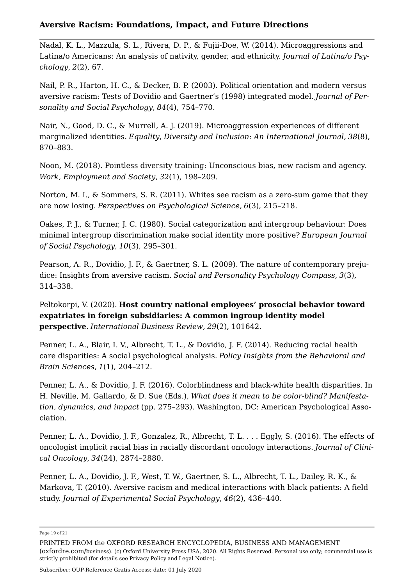<span id="page-18-4"></span>Nadal, K. L., Mazzula, S. L., Rivera, D. P., & Fujii-Doe, W. (2014). Microaggressions and Latina/o Americans: An analysis of nativity, gender, and ethnicity. *Journal of Latina/o Psychology*, *2*(2), 67.

<span id="page-18-3"></span>Nail, P. R., Harton, H. C., & Decker, B. P. (2003). Political orientation and modern versus aversive racism: Tests of Dovidio and Gaertner's (1998) integrated model. *Journal of Personality and Social Psychology*, *84*(4), 754–770.

<span id="page-18-11"></span>Nair, N., Good, D. C., & Murrell, A. J. (2019). Microaggression experiences of different marginalized identities. *Equality*, *Diversity and Inclusion: An International Journal*, *38*(8), 870–883.

<span id="page-18-7"></span>Noon, M. (2018). Pointless diversity training: Unconscious bias, new racism and agency. *Work, Employment and Society*, *32*(1), 198–209.

<span id="page-18-8"></span>Norton, M. I., & Sommers, S. R. (2011). Whites see racism as a zero-sum game that they are now losing. *Perspectives on Psychological Science*, *6*(3), 215–218.

<span id="page-18-9"></span>Oakes, P. J., & Turner, J. C. (1980). Social categorization and intergroup behaviour: Does minimal intergroup discrimination make social identity more positive? *European Journal of Social Psychology*, *10*(3), 295–301.

<span id="page-18-0"></span>Pearson, A. R., Dovidio, J. F., & Gaertner, S. L. (2009). The nature of contemporary prejudice: Insights from aversive racism. *Social and Personality Psychology Compass*, *3*(3), 314–338.

<span id="page-18-10"></span>Peltokorpi, V. (2020). **[Host country national employees' prosocial behavior toward](https://econpapers.repec.org/article/eeeiburev/v_3a29_3ay_3a2020_3ai_3a2_3as096959311930054x.htm) [expatriates in foreign subsidiaries: A common ingroup identity model](https://econpapers.repec.org/article/eeeiburev/v_3a29_3ay_3a2020_3ai_3a2_3as096959311930054x.htm)  [perspective](https://econpapers.repec.org/article/eeeiburev/v_3a29_3ay_3a2020_3ai_3a2_3as096959311930054x.htm)**. *International Business Review*, *29*(2), 101642.

<span id="page-18-1"></span>Penner, L. A., Blair, I. V., Albrecht, T. L., & Dovidio, J. F. (2014). Reducing racial health care disparities: A social psychological analysis. *Policy Insights from the Behavioral and Brain Sciences*, *1*(1), 204–212.

<span id="page-18-5"></span>Penner, L. A., & Dovidio, J. F. (2016). Colorblindness and black-white health disparities. In H. Neville, M. Gallardo, & D. Sue (Eds.), *What does it mean to be color-blind? Manifestation, dynamics, and impact* (pp. 275–293). Washington, DC: American Psychological Association.

<span id="page-18-2"></span>Penner, L. A., Dovidio, J. F., Gonzalez, R., Albrecht, T. L. . . . Eggly, S. (2016). The effects of oncologist implicit racial bias in racially discordant oncology interactions. *Journal of Clinical Oncology*, *34*(24), 2874–2880.

<span id="page-18-6"></span>Penner, L. A., Dovidio, J. F., West, T. W., Gaertner, S. L., Albrecht, T. L., Dailey, R. K., & Markova, T. (2010). Aversive racism and medical interactions with black patients: A field study. *Journal of Experimental Social Psychology*, *46*(2), 436–440.

Page 19 of 21

PRINTED FROM the OXFORD RESEARCH ENCYCLOPEDIA, BUSINESS AND MANAGEMENT

(oxfordre.com/business). (c) Oxford University Press USA, 2020. All Rights Reserved. Personal use only; commercial use is strictly prohibited (for details see [Privacy Policy](https://global.oup.com/privacy) and [Legal Notice\)](https://oxfordre.com/page/legal-notice).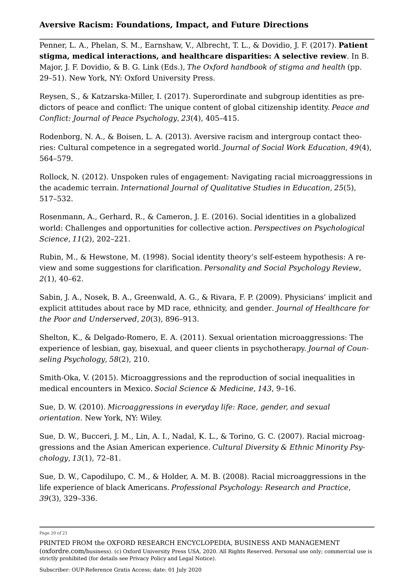<span id="page-19-6"></span>Penner, L. A., Phelan, S. M., Earnshaw, V., Albrecht, T. L., & Dovidio, J. F. (2017). **[Patient](https://www.oxfordhandbooks.com/view/10.1093/oxfordhb/9780190243470.001.0001/oxfordhb-9780190243470-e-12) [stigma, medical interactions, and healthcare disparities: A selective review](https://www.oxfordhandbooks.com/view/10.1093/oxfordhb/9780190243470.001.0001/oxfordhb-9780190243470-e-12)**. In B. Major, J. F. Dovidio, & B. G. Link (Eds.), *The Oxford handbook of stigma and health* (pp. 29–51). New York, NY: Oxford University Press.

<span id="page-19-10"></span>Reysen, S., & Katzarska-Miller, I. (2017). Superordinate and subgroup identities as predictors of peace and conflict: The unique content of global citizenship identity. *Peace and Conflict: Journal of Peace Psychology*, *23*(4), 405–415.

<span id="page-19-4"></span>Rodenborg, N. A., & Boisen, L. A. (2013). Aversive racism and intergroup contact theories: Cultural competence in a segregated world. *Journal of Social Work Education*, *49*(4), 564–579.

<span id="page-19-8"></span>Rollock, N. (2012). Unspoken rules of engagement: Navigating racial microaggressions in the academic terrain. *International Journal of Qualitative Studies in Education*, *25*(5), 517–532.

<span id="page-19-11"></span>Rosenmann, A., Gerhard, R., & Cameron, J. E. (2016). Social identities in a globalized world: Challenges and opportunities for collective action. *Perspectives on Psychological Science*, *11*(2), 202–221.

<span id="page-19-7"></span>Rubin, M., & Hewstone, M. (1998). Social identity theory's self-esteem hypothesis: A review and some suggestions for clarification. *Personality and Social Psychology Review*, *2*(1), 40–62.

<span id="page-19-5"></span>Sabin, J. A., Nosek, B. A., Greenwald, A. G., & Rivara, F. P. (2009). Physicians' implicit and explicit attitudes about race by MD race, ethnicity, and gender*. Journal of Healthcare for the Poor and Underserved*, *20*(3), 896–913.

<span id="page-19-3"></span>Shelton, K., & Delgado-Romero, E. A. (2011). Sexual orientation microaggressions: The experience of lesbian, gay, bisexual, and queer clients in psychotherapy. *Journal of Counseling Psychology*, *58*(2), 210.

<span id="page-19-9"></span>Smith-Oka, V. (2015). Microaggressions and the reproduction of social inequalities in medical encounters in Mexico. *Social Science & Medicine*, *143*, 9–16.

<span id="page-19-0"></span>Sue, D. W. (2010). *Microaggressions in everyday life: Race, gender, and sexual orientation*. New York, NY: Wiley.

<span id="page-19-1"></span>Sue, D. W., Bucceri, J. M., Lin, A. I., Nadal, K. L., & Torino, G. C. (2007). Racial microaggressions and the Asian American experience. *Cultural Diversity & Ethnic Minority Psychology*, *13*(1), 72–81.

<span id="page-19-2"></span>Sue, D. W., Capodilupo, C. M., & Holder, A. M. B. (2008). Racial microaggressions in the life experience of black Americans. *Professional Psychology: Research and Practice*, *39*(3), 329–336.

Page 20 of 21

PRINTED FROM the OXFORD RESEARCH ENCYCLOPEDIA, BUSINESS AND MANAGEMENT (oxfordre.com/business). (c) Oxford University Press USA, 2020. All Rights Reserved. Personal use only; commercial use is strictly prohibited (for details see [Privacy Policy](https://global.oup.com/privacy) and [Legal Notice\)](https://oxfordre.com/page/legal-notice).